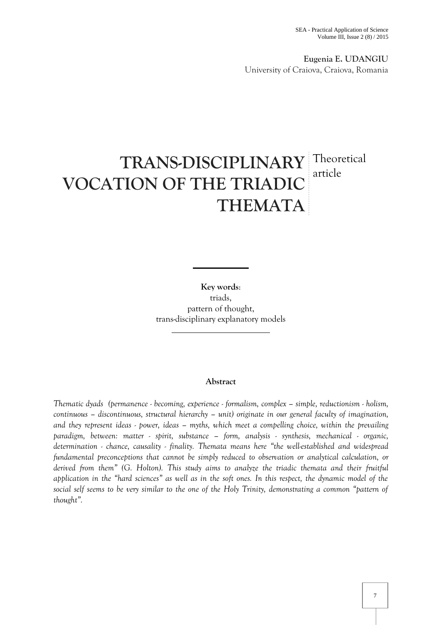**Eugenia E. UDANGIU** University of Craiova, Craiova, Romania

# **TRANS-DISCIPLINARY** Theoretical **VOCATION OF THE TRIADIC THEMATA** article

**Key words**: triads, pattern of thought, trans-disciplinary explanatory models

# **Abstract**

*Thematic dyads (permanence - becoming, experience - formalism, complex – simple, reductionism - holism, continuous – discontinuous, structural hierarchy – unit) originate in our general faculty of imagination, and they represent ideas - power, ideas – myths, which meet a compelling choice, within the prevailing paradigm, between: matter - spirit, substance – form, analysis - synthesis, mechanical - organic, determination - chance, causality - finality. Themata means here "the well-established and widespread fundamental preconceptions that cannot be simply reduced to observation or analytical calculation, or derived from them" (G. Holton). This study aims to analyze the triadic themata and their fruitful application in the "hard sciences" as well as in the soft ones. In this respect, the dynamic model of the social self seems to be very similar to the one of the Holy Trinity, demonstrating a common "pattern of thought".*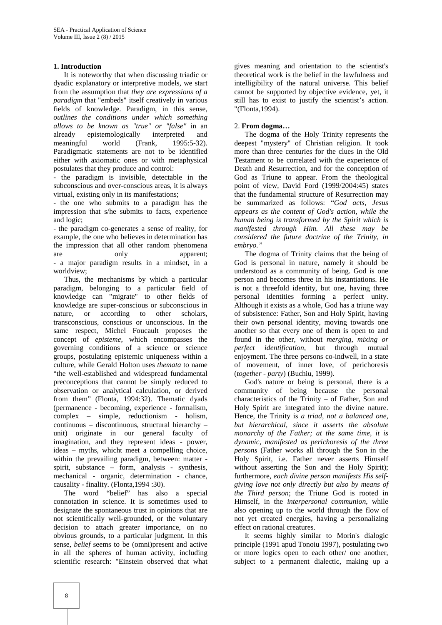## **1. Introduction**

It is noteworthy that when discussing triadic or dyadic explanatory or interpretive models, we start from the assumption that *they are expressions of a paradigm* that "embeds" itself creatively in various fields of knowledge. Paradigm, in this sense, *outlines the conditions under which something allows to be known as "true" or "false"* in an already epistemologically interpreted and meaningful world (Frank, 1995:5-32). Paradigmatic statements are not to be identified either with axiomatic ones or with metaphysical postulates that they produce and control:

- the paradigm is invisible, detectable in the subconscious and over-conscious areas, it is always virtual, existing only in its manifestations;

- the one who submits to a paradigm has the impression that s/he submits to facts, experience and logic;

- the paradigm co-generates a sense of reality, for example, the one who believes in determination has the impression that all other random phenomena are only apparent; - a major paradigm results in a mindset, in a worldview;

Thus, the mechanisms by which a particular paradigm, belonging to a particular field of knowledge can "migrate" to other fields of knowledge are super-conscious or subconscious in nature, or according to other scholars, transconscious, conscious or unconscious. In the same respect, Michel Foucault proposes the concept of *episteme*, which encompasses the governing conditions of a science or science groups, postulating epistemic uniqueness within a culture, while Gerald Holton uses *themata* to name "the well-established and widespread fundamental preconceptions that cannot be simply reduced to observation or analytical calculation, or derived from them" (Flonta, 1994:32). Thematic dyads (permanence - becoming, experience - formalism, complex – simple, reductionism - holism, continuous – discontinuous, structural hierarchy – unit) originate in our general faculty of imagination, and they represent ideas - power, ideas – myths, whicht meet a compelling choice, within the prevailing paradigm, between: matter spirit, substance – form, analysis - synthesis, mechanical - organic, determination - chance, causality - finality. (Flonta,1994 :30).

The word "belief" has also a special connotation in science. It is sometimes used to designate the spontaneous trust in opinions that are not scientifically well-grounded, or the voluntary decision to attach greater importance, on no obvious grounds, to a particular judgment. In this sense, *belief* seems to be (omni)present and active in all the spheres of human activity, including scientific research: "Einstein observed that what gives meaning and orientation to the scientist's theoretical work is the belief in the lawfulness and intelligibility of the natural universe. This belief cannot be supported by objective evidence, yet, it still has to exist to justify the scientist's action. "(Flonta,1994).

#### 2. **From dogma…**

The dogma of the Holy Trinity represents the deepest "mystery" of Christian religion. It took more than three centuries for the clues in the Old Testament to be correlated with the experience of Death and Resurrection, and for the conception of God as Triune to appear. From the theological point of view, David Ford (1999/2004:45) states that the fundamental structure of Resurrection may be summarized as follows: "*God acts, Jesus appears as the content of God's action, while the human being is transformed by the Spirit which is manifested through Him. All these may be considered the future doctrine of the Trinity, in embryo."*

The dogma of Trinity claims that the being of God is personal in nature, namely it should be understood as a community of being. God is one person and becomes three in his instantiations. He is not a threefold identity, but one, having three personal identities forming a perfect unity. Although it exists as a whole, God has a triune way of subsistence: Father, Son and Holy Spirit, having their own personal identity, moving towards one another so that every one of them is open to and found in the other, without *merging, mixing or perfect identification*, but through mutual enjoyment. The three persons co-indwell, in a state of movement, of inner love, of perichoresis (*together* - *party*) (Buchiu, 1999).

God's nature or being is personal, there is a community of being because the personal characteristics of the Trinity – of Father, Son and Holy Spirit are integrated into the divine nature. Hence, the Trinity is *a triad, not a balanced one, but hierarchical, since it asserts the absolute monarchy of the Father; at the same time, it is dynamic, manifested as perichoresis of the three persons* (Father works all through the Son in the Holy Spirit, i.e. Father never asserts Himself without asserting the Son and the Holy Spirit); furthermore, *each divine person manifests His self giving love not only directly but also by means of the Third person*; the Triune God is rooted in Himself, in the *interpersonal communion*, while also opening up to the world through the flow of not yet created energies, having a personalizing effect on rational creatures.

It seems highly similar to Morin's dialogic principle (1991 apud Tonoiu 1997), postulating two or more logics open to each other/ one another, subject to a permanent dialectic, making up a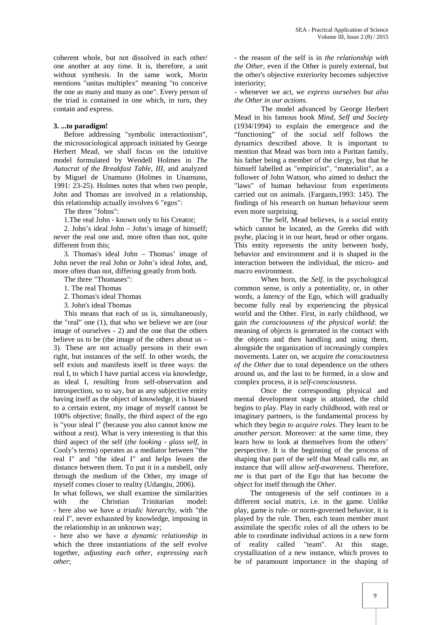coherent whole, but not dissolved in each other/ one another at any time. It is, therefore, a unit without synthesis. In the same work, Morin mentions "unitas multiplex" meaning "to conceive the one as many and many as one". Every person of the triad is contained in one which, in turn, they contain and express.

#### **3. ...to paradigm!**

Before addressing "symbolic interactionism", the microsociological approach initiated by George Herbert Mead, we shall focus on the intuitive model formulated by Wendell Holmes in *The Autocrat of the Breakfast Table, III,* and analyzed by Miguel de Unamuno (Holmes in Unamuno, 1991: 23-25). Holmes notes that when two people, John and Thomas are involved in a relationship, this relationship actually involves 6 "egos":

The three "Johns":

1.The real John - known only to his Creator;

2. John's ideal John – John's image of himself; never the real one and, more often than not, quite different from this;

3. Thomas's ideal John – Thomas' image of John never the real John or John's ideal John, and, more often than not, differing greatly from both.

The three "Thomases":

- 1. The real Thomas
- 2. Thomas's ideal Thomas
- 3. John's ideal Thomas

This means that each of us is, simultaneously, the "real" one (1), that who we believe we are (our image of ourselves - 2) and the one that the others believe us to be (the image of the others about us – 3). These are not actually persons in their own right, but instances of the self. In other words, the self exists and manifests itself in three ways: the real I, to which I have partial access via knowledge, as ideal I, resulting from self-observation and introspection, so to say, but as any subjective entity having itself as the object of knowledge, it is biased to a certain extent, my image of myself cannot be 100% objective; finally, the third aspect of the ego is "your ideal I" (because you also cannot know me without a rest). What is very interesting is that this third aspect of the self (*the looking - glass self*, in Cooly's terms) operates as a mediator between "the real I" and "the ideal I" and helps lessen the distance between them. To put it in a nutshell, only through the medium of the Other, my image of myself comes closer to reality (Udangiu, 2006).

In what follows, we shall examine the similarities with the Christian Trinitarian model: - here also we have *a triadic hierarchy*, with "the real I", never exhausted by knowledge, imposing in the relationship in an unknown way;

- here also we have *a dynamic relationship* in which the three instantiations of the self evolve together, *adjusting each other, expressing each other*;

- the reason of the self is in *the relationship with the Other*, even if the Other is purely external, but the other's objective exteriority becomes subjective interiority;

- whenever we act, *we express ourselves but also the Other in our actions.*

The model advanced by George Herbert Mead in his famous book *Mind, Self and Society* (1934/1994) to explain the emergence and the "functioning" of the social self follows the dynamics described above. It is important to mention that Mead was born into a Puritan family, his father being a member of the clergy, but that he himself labelled as "empiricist", "materialist", as a follower of John Watson, who aimed to deduct the "laws" of human behaviour from experiments carried out on animals. (Farganis,1993: 145). The findings of his research on human behaviour seem even more surprising.

The Self, Mead believes, is a social entity which cannot be located, as the Greeks did with psyhe, placing it in our heart, head or other organs. This entity represents the unity between body, behavior and environment and it is shaped in the interaction between the individual, the micro- and macro environment.

When born, the *Self*, in the psychological common sense, is only a potentiality, or, in other words, a *latency* of the Ego, which will gradually become fully real by experiencing the physical world and the Other. First, in early childhood, we gain *the consciousness of the physical world*: the meaning of objects is generated in the contact with the objects and then handling and using them, alongside the organization of increasingly complex movements. Later on, we acquire *the consciousness of the Other* due to total dependence on the others around us, and the last to be formed, in a slow and complex process, it is *self-consciousness*.

Once the corresponding physical and mental development stage is attained, the child begins to play. Play in early childhood, with real or imaginary partners, is the fundamental process by which they begin *to acquire roles*. They learn to be *another person*. Moreover: at the same time, they learn how to look at themselves from the others' perspective. It is the beginning of the process of shaping that part of the self that Mead calls *m*e, an instance that will allow *self-awareness*. Therefore, *me* is that part of the Ego that has become the *object* for itself through the *Other*.

The ontogenesis of the self continues in a different social matrix, i.e. in the game. Unlike play, game is rule- or norm-governed behavior, it is played by the rule. Then, each team member must assimilate the specific roles of all the others to be able to coordinate individual actions in a new form of reality called "team". At this stage, crystallization of a new instance, which proves to be of paramount importance in the shaping of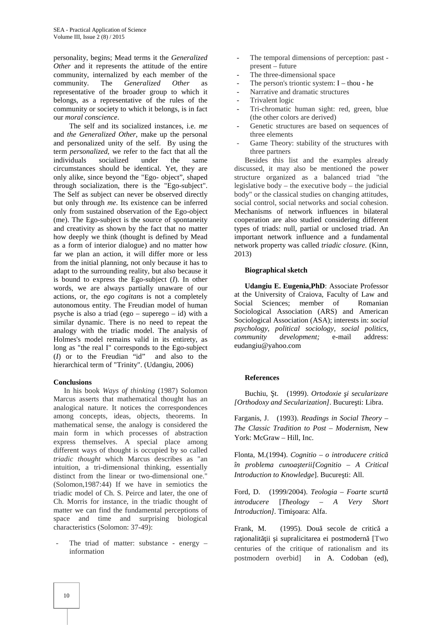personality, begins; Mead terms it the *Generalized Other* and it represents the attitude of the entire community, internalized by each member of the community. The *Generalized Other* as representative of the broader group to which it belongs, as a representative of the rules of the community or society to which it belongs, is in fact our *moral conscience*.

The self and its socialized instances, i.e. *me* and *the Generalized Other*, make up the personal and personalized unity of the self. By using the term *personalized*, we refer to the fact that all the individuals socialized under the same circumstances should be identical. Yet, they are only alike, since beyond the "Ego- object", shaped through socialization, there is the "Ego-subject". The Self as subject can never be observed directly but only through *me*. Its existence can be inferred only from sustained observation of the Ego-object (me). The Ego-subject is the source of spontaneity and creativity as shown by the fact that no matter how deeply we think (thought is defined by Mead as a form of interior dialogue) and no matter how far we plan an action, it will differ more or less from the initial planning, not only because it has to adapt to the surrounding reality, but also because it is bound to express the Ego-subject (*I*). In other words, we are always partially unaware of our actions, or, the *ego cogitans* is not a completely autonomous entity. The Freudian model of human psyche is also a triad (ego – superego – id) with a similar dynamic. There is no need to repeat the analogy with the triadic model. The analysis of Holmes's model remains valid in its entirety, as long as "the real I" corresponds to the Ego-subject (*I*) or to the Freudian "id" and also to the hierarchical term of "Trinity". (Udangiu, 2006)

## **Conclusions**

In his book *Ways of thinking* (1987) Solomon Marcus asserts that mathematical thought has an analogical nature. It notices the correspondences among concepts, ideas, objects, theorems. In mathematical sense, the analogy is considered the main form in which processes of abstraction express themselves. A special place among different ways of thought is occupied by so called *triadic thought* which Marcus describes as "an intuition, a tri-dimensional thinking, essentially distinct from the linear or two-dimensional one." (Solomon,1987:44) If we have in semiotics the triadic model of Ch. S. Peirce and later, the one of Ch. Morris for instance, in the triadic thought of matter we can find the fundamental perceptions of space and time and surprising biological characteristics (Solomon: 37-49):

The triad of matter: substance - energy – information

- The temporal dimensions of perception: past present – future
- The three-dimensional space
- The person's triontic system:  $I -$  thou he
- Narrative and dramatic structures
- Trivalent logic
- Tri-chromatic human sight: red, green, blue (the other colors are derived)
- Genetic structures are based on sequences of three elements
- Game Theory: stability of the structures with three partners

Besides this list and the examples already discussed, it may also be mentioned the power structure organized as a balanced triad "the legislative body – the executive body – the judicial body" or the classical studies on changing attitudes, social control, social networks and social cohesion. Mechanisms of network influences in bilateral cooperation are also studied considering different types of triads: null, partial or unclosed triad. An important network influence and a fundamental network property was called *triadic closure.* (Kinn, 2013)

#### **Biographical sketch**

**Udangiu E. Eugenia,PhD**: Associate Professor at the University of Craiova, Faculty of Law and Sciences; member of Romanian Sociological Association (ARS) and American Sociological Association (ASA); interests in: *social psychology, political sociology, social politics, community development;* e-mail address: eudangiu@yahoo.com

#### **References**

Buchiu, t. (1999). *Ortodoxie i secularizare [Orthodoxy and Secularization]*. Bucure ti: Libra.

Farganis, J. (1993). *Readings in Social Theory – The Classic Tradition to Post – Modernism*, New York: McGraw – Hill, Inc.

Flonta, M.(1994). *Cognitio – o introducere critică*  $\hat{i}$ *n* problema cunoa terii<sup>[</sup>Cognitio – A Critical *Introduction to Knowledge*]. Bucure ti: All.

Ford, D. (1999/2004). *Teologia – Foarte scurtă introducere* [*Theology – A Very Short Introduction]*. Timi oara: Alfa.

Frank, M. (1995). Dou secole de critic a ra ionalită i supralicitarea ei postmodernă [Two centuries of the critique of rationalism and its postmodern overbid] in A. Codoban (ed),